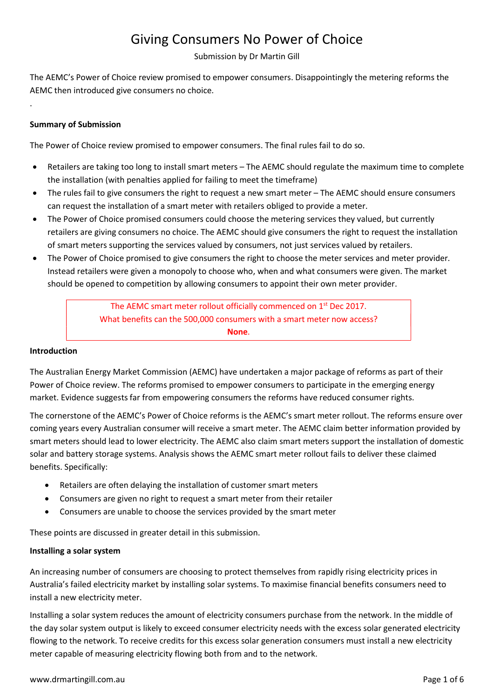# Giving Consumers No Power of Choice

Submission by Dr Martin Gill

The AEMC's Power of Choice review promised to empower consumers. Disappointingly the metering reforms the AEMC then introduced give consumers no choice.

# Summary of Submission

.

The Power of Choice review promised to empower consumers. The final rules fail to do so.

- Retailers are taking too long to install smart meters The AEMC should regulate the maximum time to complete the installation (with penalties applied for failing to meet the timeframe)
- The rules fail to give consumers the right to request a new smart meter The AEMC should ensure consumers can request the installation of a smart meter with retailers obliged to provide a meter.
- The Power of Choice promised consumers could choose the metering services they valued, but currently retailers are giving consumers no choice. The AEMC should give consumers the right to request the installation of smart meters supporting the services valued by consumers, not just services valued by retailers.
- The Power of Choice promised to give consumers the right to choose the meter services and meter provider. Instead retailers were given a monopoly to choose who, when and what consumers were given. The market should be opened to competition by allowing consumers to appoint their own meter provider.

The AEMC smart meter rollout officially commenced on 1<sup>st</sup> Dec 2017. What benefits can the 500,000 consumers with a smart meter now access? None.

#### Introduction

The Australian Energy Market Commission (AEMC) have undertaken a major package of reforms as part of their Power of Choice review. The reforms promised to empower consumers to participate in the emerging energy market. Evidence suggests far from empowering consumers the reforms have reduced consumer rights.

The cornerstone of the AEMC's Power of Choice reforms is the AEMC's smart meter rollout. The reforms ensure over coming years every Australian consumer will receive a smart meter. The AEMC claim better information provided by smart meters should lead to lower electricity. The AEMC also claim smart meters support the installation of domestic solar and battery storage systems. Analysis shows the AEMC smart meter rollout fails to deliver these claimed benefits. Specifically:

- Retailers are often delaying the installation of customer smart meters
- Consumers are given no right to request a smart meter from their retailer
- Consumers are unable to choose the services provided by the smart meter

These points are discussed in greater detail in this submission.

## Installing a solar system

An increasing number of consumers are choosing to protect themselves from rapidly rising electricity prices in Australia's failed electricity market by installing solar systems. To maximise financial benefits consumers need to install a new electricity meter.

Installing a solar system reduces the amount of electricity consumers purchase from the network. In the middle of the day solar system output is likely to exceed consumer electricity needs with the excess solar generated electricity flowing to the network. To receive credits for this excess solar generation consumers must install a new electricity meter capable of measuring electricity flowing both from and to the network.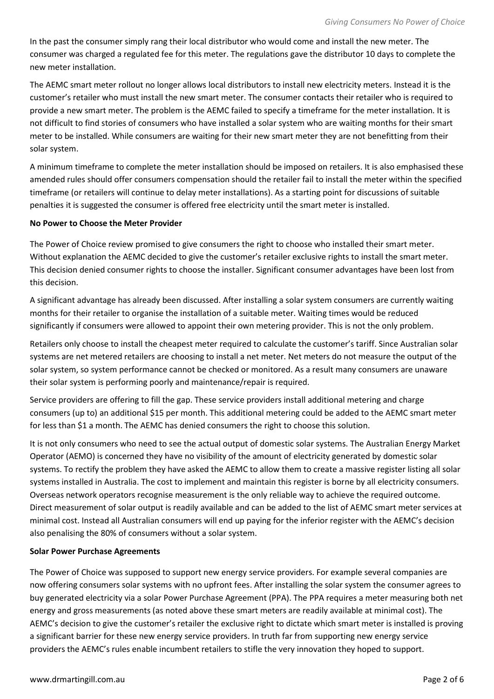In the past the consumer simply rang their local distributor who would come and install the new meter. The consumer was charged a regulated fee for this meter. The regulations gave the distributor 10 days to complete the new meter installation.

The AEMC smart meter rollout no longer allows local distributors to install new electricity meters. Instead it is the customer's retailer who must install the new smart meter. The consumer contacts their retailer who is required to provide a new smart meter. The problem is the AEMC failed to specify a timeframe for the meter installation. It is not difficult to find stories of consumers who have installed a solar system who are waiting months for their smart meter to be installed. While consumers are waiting for their new smart meter they are not benefitting from their solar system.

A minimum timeframe to complete the meter installation should be imposed on retailers. It is also emphasised these amended rules should offer consumers compensation should the retailer fail to install the meter within the specified timeframe (or retailers will continue to delay meter installations). As a starting point for discussions of suitable penalties it is suggested the consumer is offered free electricity until the smart meter is installed.

## No Power to Choose the Meter Provider

The Power of Choice review promised to give consumers the right to choose who installed their smart meter. Without explanation the AEMC decided to give the customer's retailer exclusive rights to install the smart meter. This decision denied consumer rights to choose the installer. Significant consumer advantages have been lost from this decision.

A significant advantage has already been discussed. After installing a solar system consumers are currently waiting months for their retailer to organise the installation of a suitable meter. Waiting times would be reduced significantly if consumers were allowed to appoint their own metering provider. This is not the only problem.

Retailers only choose to install the cheapest meter required to calculate the customer's tariff. Since Australian solar systems are net metered retailers are choosing to install a net meter. Net meters do not measure the output of the solar system, so system performance cannot be checked or monitored. As a result many consumers are unaware their solar system is performing poorly and maintenance/repair is required.

Service providers are offering to fill the gap. These service providers install additional metering and charge consumers (up to) an additional \$15 per month. This additional metering could be added to the AEMC smart meter for less than \$1 a month. The AEMC has denied consumers the right to choose this solution.

It is not only consumers who need to see the actual output of domestic solar systems. The Australian Energy Market Operator (AEMO) is concerned they have no visibility of the amount of electricity generated by domestic solar systems. To rectify the problem they have asked the AEMC to allow them to create a massive register listing all solar systems installed in Australia. The cost to implement and maintain this register is borne by all electricity consumers. Overseas network operators recognise measurement is the only reliable way to achieve the required outcome. Direct measurement of solar output is readily available and can be added to the list of AEMC smart meter services at minimal cost. Instead all Australian consumers will end up paying for the inferior register with the AEMC's decision also penalising the 80% of consumers without a solar system.

## Solar Power Purchase Agreements

The Power of Choice was supposed to support new energy service providers. For example several companies are now offering consumers solar systems with no upfront fees. After installing the solar system the consumer agrees to buy generated electricity via a solar Power Purchase Agreement (PPA). The PPA requires a meter measuring both net energy and gross measurements (as noted above these smart meters are readily available at minimal cost). The AEMC's decision to give the customer's retailer the exclusive right to dictate which smart meter is installed is proving a significant barrier for these new energy service providers. In truth far from supporting new energy service providers the AEMC's rules enable incumbent retailers to stifle the very innovation they hoped to support.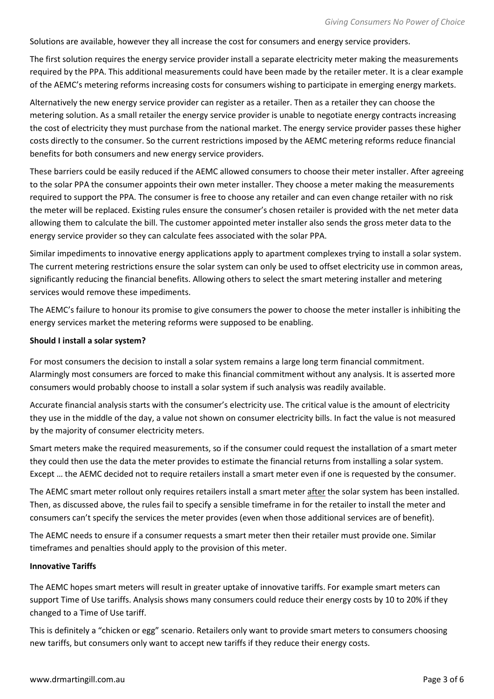Solutions are available, however they all increase the cost for consumers and energy service providers.

The first solution requires the energy service provider install a separate electricity meter making the measurements required by the PPA. This additional measurements could have been made by the retailer meter. It is a clear example of the AEMC's metering reforms increasing costs for consumers wishing to participate in emerging energy markets.

Alternatively the new energy service provider can register as a retailer. Then as a retailer they can choose the metering solution. As a small retailer the energy service provider is unable to negotiate energy contracts increasing the cost of electricity they must purchase from the national market. The energy service provider passes these higher costs directly to the consumer. So the current restrictions imposed by the AEMC metering reforms reduce financial benefits for both consumers and new energy service providers.

These barriers could be easily reduced if the AEMC allowed consumers to choose their meter installer. After agreeing to the solar PPA the consumer appoints their own meter installer. They choose a meter making the measurements required to support the PPA. The consumer is free to choose any retailer and can even change retailer with no risk the meter will be replaced. Existing rules ensure the consumer's chosen retailer is provided with the net meter data allowing them to calculate the bill. The customer appointed meter installer also sends the gross meter data to the energy service provider so they can calculate fees associated with the solar PPA.

Similar impediments to innovative energy applications apply to apartment complexes trying to install a solar system. The current metering restrictions ensure the solar system can only be used to offset electricity use in common areas, significantly reducing the financial benefits. Allowing others to select the smart metering installer and metering services would remove these impediments.

The AEMC's failure to honour its promise to give consumers the power to choose the meter installer is inhibiting the energy services market the metering reforms were supposed to be enabling.

#### Should I install a solar system?

For most consumers the decision to install a solar system remains a large long term financial commitment. Alarmingly most consumers are forced to make this financial commitment without any analysis. It is asserted more consumers would probably choose to install a solar system if such analysis was readily available.

Accurate financial analysis starts with the consumer's electricity use. The critical value is the amount of electricity they use in the middle of the day, a value not shown on consumer electricity bills. In fact the value is not measured by the majority of consumer electricity meters.

Smart meters make the required measurements, so if the consumer could request the installation of a smart meter they could then use the data the meter provides to estimate the financial returns from installing a solar system. Except … the AEMC decided not to require retailers install a smart meter even if one is requested by the consumer.

The AEMC smart meter rollout only requires retailers install a smart meter after the solar system has been installed. Then, as discussed above, the rules fail to specify a sensible timeframe in for the retailer to install the meter and consumers can't specify the services the meter provides (even when those additional services are of benefit).

The AEMC needs to ensure if a consumer requests a smart meter then their retailer must provide one. Similar timeframes and penalties should apply to the provision of this meter.

## Innovative Tariffs

The AEMC hopes smart meters will result in greater uptake of innovative tariffs. For example smart meters can support Time of Use tariffs. Analysis shows many consumers could reduce their energy costs by 10 to 20% if they changed to a Time of Use tariff.

This is definitely a "chicken or egg" scenario. Retailers only want to provide smart meters to consumers choosing new tariffs, but consumers only want to accept new tariffs if they reduce their energy costs.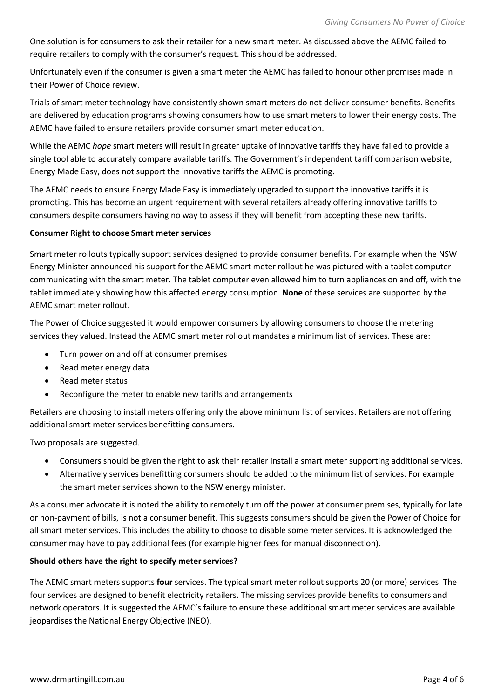One solution is for consumers to ask their retailer for a new smart meter. As discussed above the AEMC failed to require retailers to comply with the consumer's request. This should be addressed.

Unfortunately even if the consumer is given a smart meter the AEMC has failed to honour other promises made in their Power of Choice review.

Trials of smart meter technology have consistently shown smart meters do not deliver consumer benefits. Benefits are delivered by education programs showing consumers how to use smart meters to lower their energy costs. The AEMC have failed to ensure retailers provide consumer smart meter education.

While the AEMC hope smart meters will result in greater uptake of innovative tariffs they have failed to provide a single tool able to accurately compare available tariffs. The Government's independent tariff comparison website, Energy Made Easy, does not support the innovative tariffs the AEMC is promoting.

The AEMC needs to ensure Energy Made Easy is immediately upgraded to support the innovative tariffs it is promoting. This has become an urgent requirement with several retailers already offering innovative tariffs to consumers despite consumers having no way to assess if they will benefit from accepting these new tariffs.

## Consumer Right to choose Smart meter services

Smart meter rollouts typically support services designed to provide consumer benefits. For example when the NSW Energy Minister announced his support for the AEMC smart meter rollout he was pictured with a tablet computer communicating with the smart meter. The tablet computer even allowed him to turn appliances on and off, with the tablet immediately showing how this affected energy consumption. None of these services are supported by the AEMC smart meter rollout.

The Power of Choice suggested it would empower consumers by allowing consumers to choose the metering services they valued. Instead the AEMC smart meter rollout mandates a minimum list of services. These are:

- Turn power on and off at consumer premises
- Read meter energy data
- Read meter status
- Reconfigure the meter to enable new tariffs and arrangements

Retailers are choosing to install meters offering only the above minimum list of services. Retailers are not offering additional smart meter services benefitting consumers.

Two proposals are suggested.

- Consumers should be given the right to ask their retailer install a smart meter supporting additional services.
- Alternatively services benefitting consumers should be added to the minimum list of services. For example the smart meter services shown to the NSW energy minister.

As a consumer advocate it is noted the ability to remotely turn off the power at consumer premises, typically for late or non-payment of bills, is not a consumer benefit. This suggests consumers should be given the Power of Choice for all smart meter services. This includes the ability to choose to disable some meter services. It is acknowledged the consumer may have to pay additional fees (for example higher fees for manual disconnection).

## Should others have the right to specify meter services?

The AEMC smart meters supports four services. The typical smart meter rollout supports 20 (or more) services. The four services are designed to benefit electricity retailers. The missing services provide benefits to consumers and network operators. It is suggested the AEMC's failure to ensure these additional smart meter services are available jeopardises the National Energy Objective (NEO).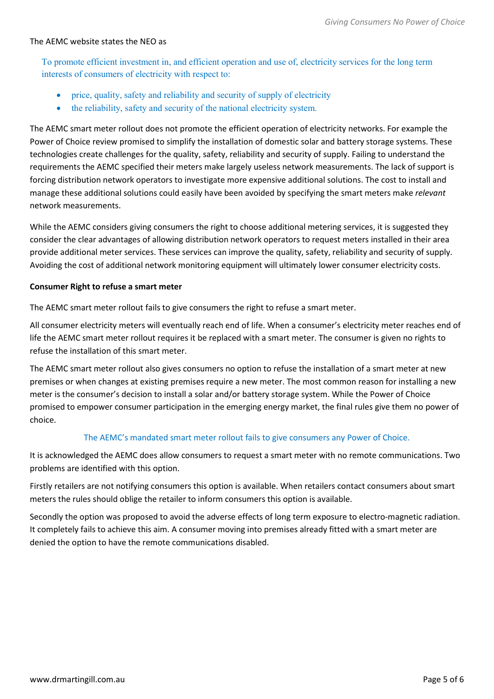# The AEMC website states the NEO as

To promote efficient investment in, and efficient operation and use of, electricity services for the long term interests of consumers of electricity with respect to:

- price, quality, safety and reliability and security of supply of electricity
- the reliability, safety and security of the national electricity system.

The AEMC smart meter rollout does not promote the efficient operation of electricity networks. For example the Power of Choice review promised to simplify the installation of domestic solar and battery storage systems. These technologies create challenges for the quality, safety, reliability and security of supply. Failing to understand the requirements the AEMC specified their meters make largely useless network measurements. The lack of support is forcing distribution network operators to investigate more expensive additional solutions. The cost to install and manage these additional solutions could easily have been avoided by specifying the smart meters make relevant network measurements.

While the AEMC considers giving consumers the right to choose additional metering services, it is suggested they consider the clear advantages of allowing distribution network operators to request meters installed in their area provide additional meter services. These services can improve the quality, safety, reliability and security of supply. Avoiding the cost of additional network monitoring equipment will ultimately lower consumer electricity costs.

#### Consumer Right to refuse a smart meter

The AEMC smart meter rollout fails to give consumers the right to refuse a smart meter.

All consumer electricity meters will eventually reach end of life. When a consumer's electricity meter reaches end of life the AEMC smart meter rollout requires it be replaced with a smart meter. The consumer is given no rights to refuse the installation of this smart meter.

The AEMC smart meter rollout also gives consumers no option to refuse the installation of a smart meter at new premises or when changes at existing premises require a new meter. The most common reason for installing a new meter is the consumer's decision to install a solar and/or battery storage system. While the Power of Choice promised to empower consumer participation in the emerging energy market, the final rules give them no power of choice.

## The AEMC's mandated smart meter rollout fails to give consumers any Power of Choice.

It is acknowledged the AEMC does allow consumers to request a smart meter with no remote communications. Two problems are identified with this option.

Firstly retailers are not notifying consumers this option is available. When retailers contact consumers about smart meters the rules should oblige the retailer to inform consumers this option is available.

Secondly the option was proposed to avoid the adverse effects of long term exposure to electro-magnetic radiation. It completely fails to achieve this aim. A consumer moving into premises already fitted with a smart meter are denied the option to have the remote communications disabled.